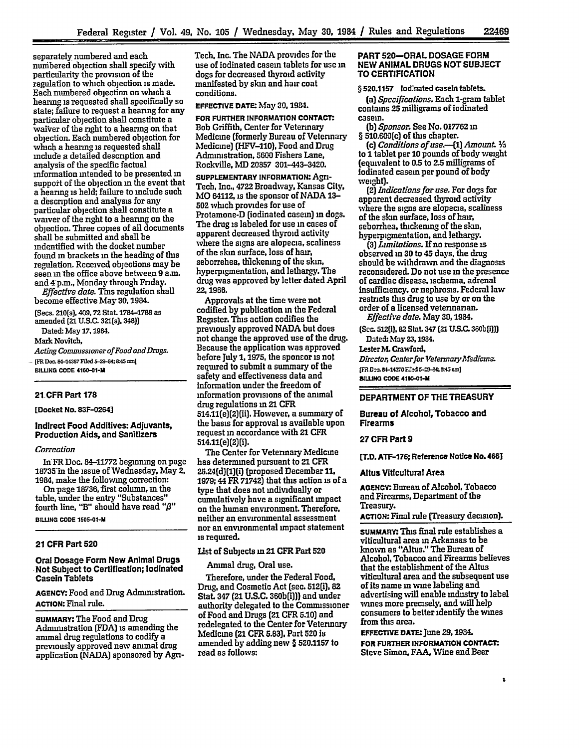separately numbered and each nunibered objection shall specify with particularity the provision of the regulation to which objection is made. Each numbered objection on which a hearing is requested shall specifically so state; failure to request a hearing for any particular objection shall constitute a waiver of the right to a hearing on that objection. Each numbered objection for which a hearing is requested shall include a detailed description and analysis of the specific factual information intended to be presented **in** support of the objection **in** the event that **a** hearing is held; failure to include such **a** description and analysis for **any** particular objection shall constitute a waiver of the right to a hearing on the objection. Three copies of all documents shall be submitted and shall be mdentified with the docket number found **in** brackets **in** the heading of tius regulation. Received objections may be seen **in** the office above between **9** a.m. and 4p.m., Monday through Friday.

*Effective date.* This regulation shall become effective May 30,1984.

(Secs. 210(s), 409. **72** Stat. **1784-1788** as amended (21 **U.S.C. 321(s), 348))**

Dated: May 17,1984.

Mark Novitch,

*Acting Commissioner of Food andDugs.*  $[FR\,Doc.\,84-14357\,Filed\,5-29-84; 8:45\,nm]$ **BILLING CODE 4160-01-il**

#### **21.CFR** Part **178**

[Docket No. 83F-0264]

## Indirect Food Additives: Adjuvants, Production Aids, and Sanitizers

#### *Correction*

**In** FR Doc. **84-11772** beginning on page 18735"in the issue of Wednesday. May 2, 1984, make the following correction:

On page **18736,** first column, **in** the table, under the entry "Substances" fourth line, "B" should have read **"/3"**

**BILLING CODE 1505-01-M** 

#### 21 CFR Part **520**

### Oral Dosage Form New Animal Drugs Not Subject to Certification; lodinated Casein Tablets

**AGENCY:** Food and Drug Administration. **ACTION:** Final rule.

**SUMMARY:** The Food and Drug Administration **(FDA]** is amending the animal drug regulations to codify a previously approved new **animal** drug application (NADA) sponsored **by** AgnTech, Inc. The NADA provides for the use of iodinated casein tablets for use in dogs for decreased thyroid activity manifested **by** skin and hair coat conditions.

**EFFECTIVE DATE:** May 30,1984.

**FOR FURTHER INFORMATION CONTACT.** Bob Griffith, Center for Veterinary Medicine (formerly Bureau of Veterinary Medicme) (HFV-110), Food and Drug Administration, **5600** Fishers Lane, Rockville, **MD 20857** 301-443-3420.

**SUPPLEMENTARY INFORMATION:** Agri-Tech, Inc., 4722 Broadway, Kansas City, MO 64112, is the sponsor of **NADA 13- 502** which provides for use of Protamone-D (iodinated casein) in dogs. The drug is labeled for use **in** cases of apparent decreased thyroid activity where the signs are alopecia, scaliness of the **skin** surface, loss of hair, seborrehea, thickening of the skin, hyperpigmentation, and lethargy. The drug was approved by letter dated April **22, 1966.**

Approvals at the time were not codified **by** publication in the Federal Register. This action codifies the previously approved **NADA** but does not change the approved use of the drug. Because the application was approved before July **1,1975,** the sponor is not required to submit a summary of the safety and effectiveness data and Information under the freedom of information provisions of the animal drug regulations **in** 21 CFR 514.11(e)(2)(ii). However, a summary of the basis for approval is available upon request in accordance with 21 CFR 514.11(e)(2)(i).

The Center for Veterinary Medicine has determined pursuant to 21 CFR 25.24(d)(1)(i) (proposed December **11, 1979;** 44 FR **71742)** that this action **is** of a type that does not individually or cumulatively have a significant impact on the human environment. Therefore, neither an environmental assessment nor an environmental impact statement is required.

## List of Subjects **m** 21 CFR Part 520

Animal drug, Oral use.

Therefore, under the Federal Food, Drug, and Cosmetic Act (sec. 512(i), 82 Stat **347** (21 **U.S.C.** 360b(i))) and under authority delegated to the Commissioner of Food and Drugs (21 CFR **5.10)** and redelegated to the Center for Veterinary Medicine (21 CFR **5.83),** Part **520** Is amended **by** adding new § **520.1157** to read as follows:

## PART 520-ORAL **DOSAGE** FORM **NEW ANIMAL DRUGS NOT SUBJECT** TO **CERTIFICATION**

§ **520.1157** lodlnated caseln tablets.

(a) *Specifications.* Each 1-gram tablet contains **25** milligrams of iodinated casein.

*(b) Sponsor.* See No. **017762 in** § 510.600(c) of this chapter.

(c) *Conditions of use.-(1) Amount. s* to 1 tablet per 10 pounds of body weight (equivalent to **0.5** to **2.5** milligrams of Jodinated casein per pound of body weight).

*(2) Indications for use.* For dogs for apparent decreased thyroid activity where the signs are alopecia, scaliness of the skin surface, loss of **har,** seborrhea, thickening of the skin, hyperpigmentation, and lethargy.

**(3)** *Limitations.* Ifno response is observed **in 30** to 45 days, the drug should be withdrawn and the diagnosis reconsidered. Do not use **in** the presence of cardiac disease, ischenma, adrenal insufficency, or nephrosis. Federal law restricts **tlus** drug to use **by** or on the order of a licensed veterinarian. *Effective date.* May 30,1984.

(Sec. 512(1]. **82** Stat. **347 (21 US.C.** *3Wob3i))* Dated: May **23,1984.**

**Lester M.** Crawford.

*Director, Center for Veleznary. 1edfczna* **[FR Dec. 84-14370 Filed 5-23-84; 8:45 am] IMLING CODE 4180-01-M**

## DEPARTMENT OF THE TREASURY

Bureau of Alcohol, Tobacco and Firearms

### **27** CFR Part **9**

**[T.D. ATF-176;** Reference Notice No. **466]**

#### Altus Viticultural Area

**AGENCY.** Bureau of Alcohol, Tobacco and Firearms, Department of the Treasury.

**ACTION:** Final rule (Treasury decision).

**suMmARt.** This final rule establishes a viticultural area **in** Arkansas to be known as "Altus." The Bureau of Alcohol. Tobacco and Firearms believes that the establishment of the Altus viticultural area and the subsequent use of its name in wine labeling and advertising will enable industry to label wines more precisely, and will help consumers to better identify the wines from this area.

**EFFECTIVE DATE: June 29, 1934.** FOR **FURTHER INFORMATION CONTACT.** Steve Simon. **FAA.** Wine and Beer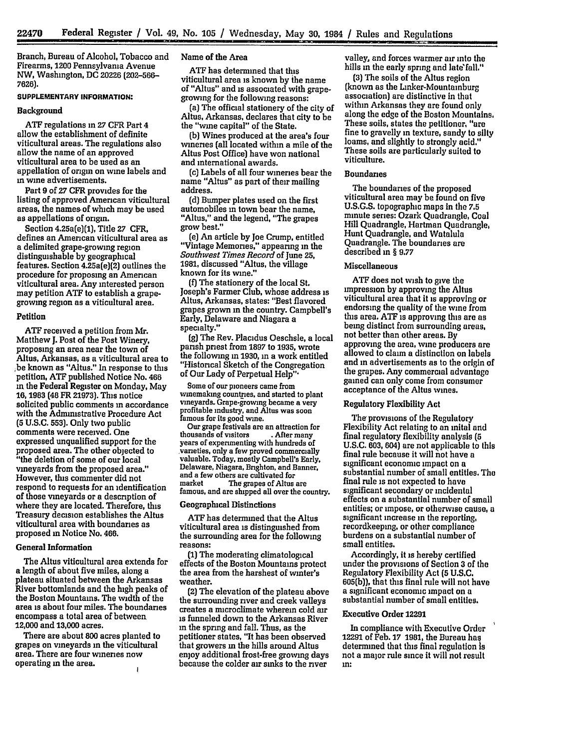Branch, Bureau of Alcohol, Tobacco and Firearms, 1200 Pennsylvania Avenue NW, Washington, **DC 20226 (202-566-- 7626).**

# **SUPPLEMENTARY INFORMATION:**

#### Background

**ATF** regulations in **27** CFR Part 4 allow the establishment of definite viticultural areas. The regulations also allow the name of an approved viticultural area to be used as an appellation of origin on wine labels and **in** wine advertisements.

**Part 9** of **27 CFR** provides for the listing of approved American viticultural areas, the names- of which may be used as appellations of origin.

Section **4.25a(e](1],** Title **27 CFR,** defines an American viticultural area as a delimited grape-growing region distinguishable **by** geographical features. Section 4.25a(e)(2] outlines the procedure for proposing an American viticultural area. Any interested person may petition **ATF** to establish a grapegrowing region as a viticultural area.

#### **Petition**

**ATF** received a petition from Mr. Matthew **J.** Post of the Post Winery, proposing an area near the town of Altus, Arkansas, as a viticultural area to **;be** known as "Altus." In response to this petition, **ATF** published Notice No. 466 in the Federal Register on Monday, May **16, 1983** (48 FR **21973].** This notice solicited public comments **in** accordance with the Administrative Procedure Act **(5 U.S.C. 553).** Only two public comments were received. One expressed unqualified support for the proposed area. The other objected to "the deletion of some of our local vineyards from the proposed area." However, this commenter did not respond to requests for an identification of those vineyards or a description of where they are located. Therefore, this Treasury decision establishes the Altus viticultural area with boundaries as proposed m Notice No. 466.

## General Information

The Altus viticultural area extends for a length of about five miles, along a plateau situated between the Arkansas River bottomlands and the high peaks of the Boston Mountains. The width of the area is about four miles. The boundaries encompass a total area of between 12,000 and 13,000 acres.

There are about **800** acres planted to grapes on vineyards in the viticultural area. There are four wineries now operating in the area.  $\mathbf{I}$ 

### Name of the Area

ATF has determined that this<br>viticultural area is known by the name of "Altus" and is associated with grapegrowing for the following reasons:

(a) The official stationery of the city of Altus, Arkansas, declares that city to be the "wine capital" of the State.

**(b]** Wines produced at the area's four wineries (all located within a mile of the Altus Post Office) have won national and international awards.

name "Altus" as part of their mailing address.

**(d)** Bumper plates used on the first automobiles in town bear the name, "Altus." and the legend, "The grapes grow best."

**(e)** An article **by** Joe Crump, entitled "Vintage Memories," appeanng in the *Southwest Times Record* **of** June **25, 1981,** discussed "Altus, the village known for its wine."

**(f)** The stationery of the local St. Joseph's Farmer Club, whose address is Altus, Arkansas, states: "Best flavored grapes grown in the country. Campbell's Early, Delaware and Niagara a specialty."

**(g)** The Rev. Placidus Oeschsle, a local parish priest from **1897** to **1935,** wrote the following in **1930,** in a work entitled "Historical Sketch of the Congregation of Our Lady of Perpetual Help'"

Some of our pioneers came from wimemaking countries, and started to plant vineyards. Grape-growing became a very profitable industry, and Altus was soon famous for its good wine.

Our grape festivals are an attraction for<br>thousands of visitors . After many thousands of visitors **.** After many years of expermenting with hundreds of vaneties, only a few proved commercially valuable. Today, mostly Campbell's Early, Delaware, Niagara, Brighton, and Banner, and a few others are cultivated for famous, and are shipped all over the country.

#### Geographical Distinctions

**ATF** has determined that the Altus viticultural area is distinguished from the surrounding area for the following reasons:

**(1]** The moderating climatological effects of the Boston Mountains protect the area from the harshest of winter's weather.

(2) The elevation of the plateau above the surrounding river and creek valleys creates a microclimate wherein cold air is funneled down to the Arkansas River **in** the spring and fall. Thus, as the petitioner states, "It has been observed that growers **in** the hills around Altus enjoy additional frost-free growing days because the colder air sinks to the river

valley, and forces warmer air into the hills in the early spring and late fall."

**(3)** The soils of the Altus region (known as the Linker-Mountainburg association) are distinctive in that within Arkansas they are found only along the edge of the Boston Mountains. These soils, states the petitioner, "are fine to gravelly in texture, sandy to **silty** loams, and slightly to strongly acid." These soils are particularly suited to viticulture.

## **Boundaries**

The boundaries of the proposed viticultural area may be found on five **U.S.G.S.** topographic maps in the **7.5** minute series: Ozark Quadrangle, Coal Hill Quadrangle, Hartman Quadrangle, Hunt Quadrangle, and Watalula Quadrangle. The boundaries are described in § **9.77**

## Miscellaneous

**ATF** does not wish to give the impression **by** approving the Altus viticultural area that it is approving or endorsing the quality of the wine from this area. **ATF** is approving this are as being distinct from surrounding areas, not better than other areas. **By** approving the area, wine producers are allowed to claim a distinction on labels and in advertisements as to the origin of the grapes. Any commercial advantage gained can only come from consumer acceptance of the Altus wines.

### **Regulatory Flexibility Act**

The provisions of the Regulatory Flexibility Act relating to an **mital** and final regulatory flexibility analysis **(5 U.S.C. 603,** 604) are not applicable to this final rule because it will not have a significant economic impact on a substantial number of small entities. The final rule is not expected to have significant secondary or incidental effects on a substantial number of small entities; or impose, or otherwise cause, a significant increase in the reporting, recordkeeping, or other compliance burdens on a substantial number of small entities.

Accordingly, it is hereby certified under the provisions of Section **3** of the Regulatory Flexibility Act **(5 U.S.C. 605(b)),** that this final rule will not have a significant economic impact on a substantial number of small entities.

## Executive Order **12291**

In compliance with Executive Order **12291** of Feb. **17 1981,** the Bureau has determined that this final regulation is not a major rule since it will not result **in:**